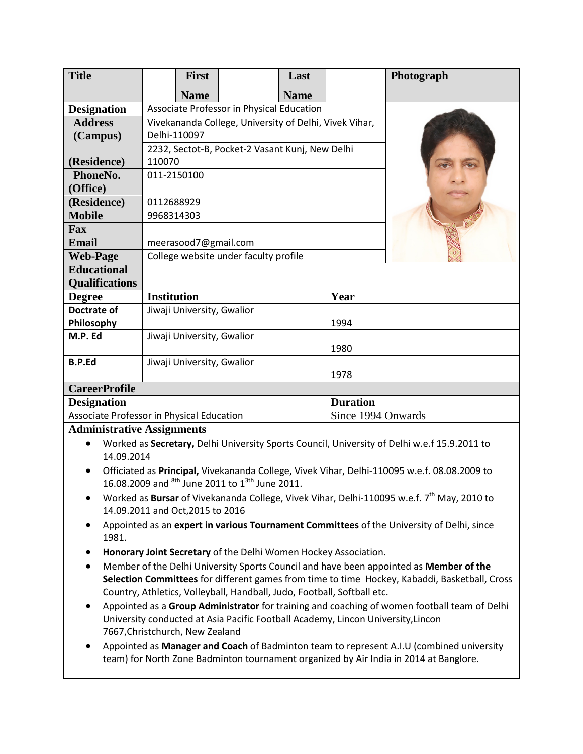| <b>Title</b>          | <b>First</b>                                           |  | Last        |                 | Photograph |
|-----------------------|--------------------------------------------------------|--|-------------|-----------------|------------|
|                       | <b>Name</b>                                            |  | <b>Name</b> |                 |            |
| <b>Designation</b>    | Associate Professor in Physical Education              |  |             |                 |            |
| <b>Address</b>        | Vivekananda College, University of Delhi, Vivek Vihar, |  |             |                 |            |
| (Campus)              | Delhi-110097                                           |  |             |                 |            |
|                       | 2232, Sectot-B, Pocket-2 Vasant Kunj, New Delhi        |  |             |                 |            |
| (Residence)           | 110070                                                 |  |             |                 |            |
| PhoneNo.              | 011-2150100                                            |  |             |                 |            |
| (Office)              |                                                        |  |             |                 |            |
| (Residence)           | 0112688929                                             |  |             |                 |            |
| <b>Mobile</b>         | 9968314303                                             |  |             |                 |            |
| Fax                   |                                                        |  |             |                 |            |
| <b>Email</b>          | meerasood7@gmail.com                                   |  |             |                 |            |
| <b>Web-Page</b>       | College website under faculty profile                  |  |             |                 |            |
| <b>Educational</b>    |                                                        |  |             |                 |            |
| <b>Qualifications</b> |                                                        |  |             |                 |            |
| <b>Degree</b>         | <b>Institution</b>                                     |  |             | Year            |            |
| Doctrate of           | Jiwaji University, Gwalior                             |  |             |                 |            |
| Philosophy            | 1994                                                   |  |             |                 |            |
| M.P. Ed               | Jiwaji University, Gwalior                             |  |             |                 |            |
|                       |                                                        |  |             | 1980            |            |
| <b>B.P.Ed</b>         | Jiwaji University, Gwalior                             |  |             |                 |            |
|                       | 1978                                                   |  |             |                 |            |
| <b>CareerProfile</b>  |                                                        |  |             |                 |            |
| <b>Designation</b>    |                                                        |  |             | <b>Duration</b> |            |

| <b>Designation</b>                        | <b>Duration</b>    |
|-------------------------------------------|--------------------|
| Associate Professor in Physical Education | Since 1994 Onwards |
|                                           |                    |

## **Administrative Assignments**

- Worked as **Secretary,** Delhi University Sports Council, University of Delhi w.e.f 15.9.2011 to 14.09.2014
- Officiated as **Principal,** Vivekananda College, Vivek Vihar, Delhi-110095 w.e.f. 08.08.2009 to 16.08.2009 and  $8th$  June 2011 to  $1^{3th}$  June 2011.
- Worked as **Bursar** of Vivekananda College, Vivek Vihar, Delhi-110095 w.e.f. 7<sup>th</sup> May, 2010 to 14.09.2011 and Oct,2015 to 2016
- Appointed as an **expert in various Tournament Committees** of the University of Delhi, since 1981.
- **Honorary Joint Secretary** of the Delhi Women Hockey Association.
- Member of the Delhi University Sports Council and have been appointed as **Member of the Selection Committees** for different games from time to time Hockey, Kabaddi, Basketball, Cross Country, Athletics, Volleyball, Handball, Judo, Football, Softball etc.
- Appointed as a **Group Administrator** for training and coaching of women football team of Delhi University conducted at Asia Pacific Football Academy, Lincon University,Lincon 7667,Christchurch, New Zealand
- Appointed as **Manager and Coach** of Badminton team to represent A.I.U (combined university team) for North Zone Badminton tournament organized by Air India in 2014 at Banglore.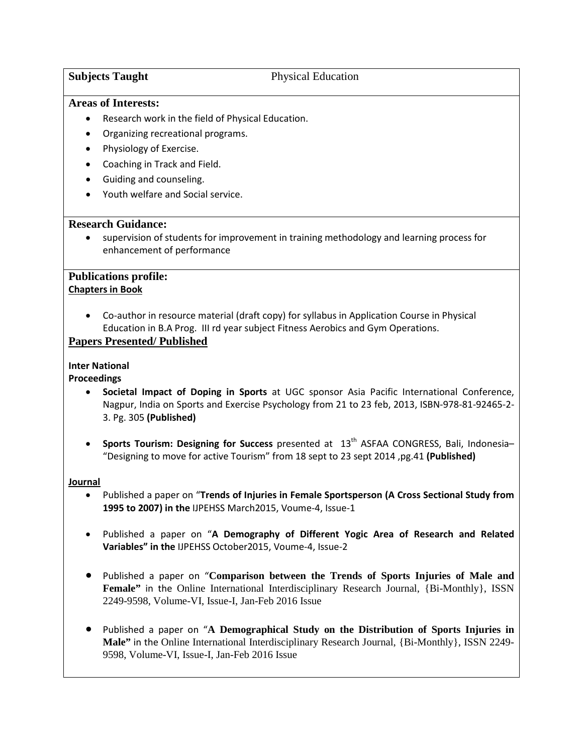## **Subjects Taught** Physical Education

#### **Areas of Interests:**

- Research work in the field of Physical Education.
- Organizing recreational programs.
- Physiology of Exercise.
- Coaching in Track and Field.
- Guiding and counseling.
- Youth welfare and Social service.

#### **Research Guidance:**

• supervision of students for improvement in training methodology and learning process for enhancement of performance

#### **Publications profile: Chapters in Book**

• Co-author in resource material (draft copy) for syllabus in Application Course in Physical Education in B.A Prog. III rd year subject Fitness Aerobics and Gym Operations.

#### **Papers Presented/ Published**

#### **Inter National**

**Proceedings**

- **Societal Impact of Doping in Sports** at UGC sponsor Asia Pacific International Conference, Nagpur, India on Sports and Exercise Psychology from 21 to 23 feb, 2013, ISBN-978-81-92465-2- 3. Pg. 305 **(Published)**
- **Sports Tourism: Designing for Success** presented at 13th ASFAA CONGRESS, Bali, Indonesia– "Designing to move for active Tourism" from 18 sept to 23 sept 2014 ,pg.41 **(Published)**

#### **Journal**

- Published a paper on "**Trends of Injuries in Female Sportsperson (A Cross Sectional Study from 1995 to 2007) in the** IJPEHSS March2015, Voume-4, Issue-1
- Published a paper on "**A Demography of Different Yogic Area of Research and Related Variables" in the** IJPEHSS October2015, Voume-4, Issue-2
- Published a paper on "**Comparison between the Trends of Sports Injuries of Male and Female"** in the Online International Interdisciplinary Research Journal, {Bi-Monthly}, ISSN 2249-9598, Volume-VI, Issue-I, Jan-Feb 2016 Issue
- Published a paper on "**A Demographical Study on the Distribution of Sports Injuries in Male"** in the Online International Interdisciplinary Research Journal, {Bi-Monthly}, ISSN 2249- 9598, Volume-VI, Issue-I, Jan-Feb 2016 Issue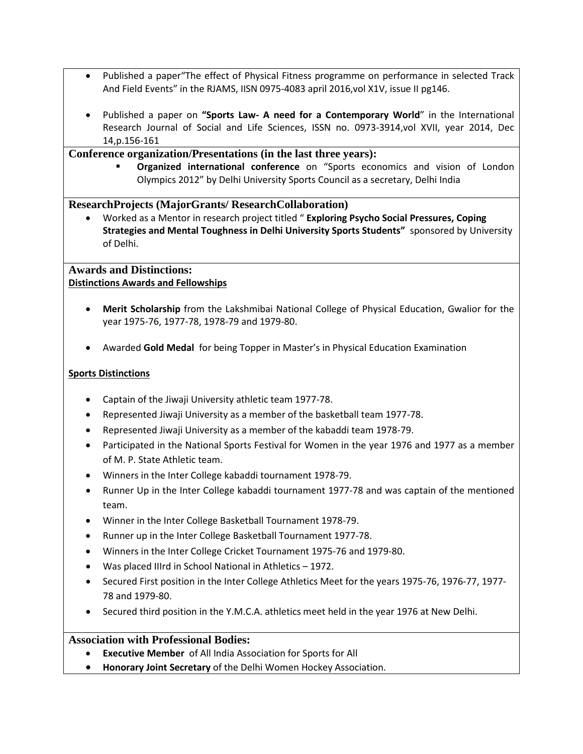- Published a paper"The effect of Physical Fitness programme on performance in selected Track And Field Events" in the RJAMS, IISN 0975-4083 april 2016,vol X1V, issue II pg146.
- Published a paper on **"Sports Law- A need for a Contemporary World**" in the International Research Journal of Social and Life Sciences, ISSN no. 0973-3914,vol XVII, year 2014, Dec 14,p.156-161

### **Conference organization/Presentations (in the last three years):**

 **Organized international conference** on "Sports economics and vision of London Olympics 2012" by Delhi University Sports Council as a secretary, Delhi India

## **ResearchProjects (MajorGrants/ ResearchCollaboration)**

• Worked as a Mentor in research project titled " **Exploring Psycho Social Pressures, Coping Strategies and Mental Toughness in Delhi University Sports Students"** sponsored by University of Delhi.

### **Awards and Distinctions: Distinctions Awards and Fellowships**

- **Merit Scholarship** from the Lakshmibai National College of Physical Education, Gwalior for the year 1975-76, 1977-78, 1978-79 and 1979-80.
- Awarded **Gold Medal** for being Topper in Master's in Physical Education Examination

#### **Sports Distinctions**

- Captain of the Jiwaji University athletic team 1977-78.
- Represented Jiwaji University as a member of the basketball team 1977-78.
- Represented Jiwaji University as a member of the kabaddi team 1978-79.
- Participated in the National Sports Festival for Women in the year 1976 and 1977 as a member of M. P. State Athletic team.
- Winners in the Inter College kabaddi tournament 1978-79.
- Runner Up in the Inter College kabaddi tournament 1977-78 and was captain of the mentioned team.
- Winner in the Inter College Basketball Tournament 1978-79.
- Runner up in the Inter College Basketball Tournament 1977-78.
- Winners in the Inter College Cricket Tournament 1975-76 and 1979-80.
- Was placed IIIrd in School National in Athletics 1972.
- Secured First position in the Inter College Athletics Meet for the years 1975-76, 1976-77, 1977- 78 and 1979-80.
- Secured third position in the Y.M.C.A. athletics meet held in the year 1976 at New Delhi.

## **Association with Professional Bodies:**

- **Executive Member** of All India Association for Sports for All
- **Honorary Joint Secretary** of the Delhi Women Hockey Association.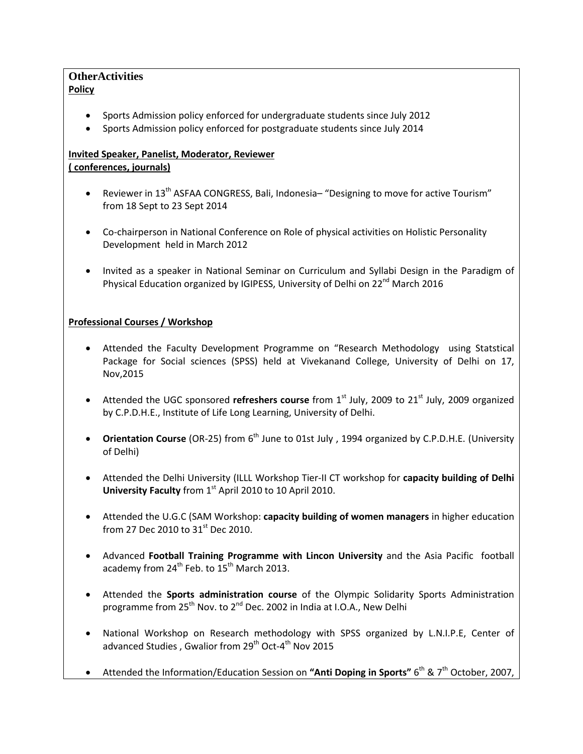## **OtherActivities Policy**

- Sports Admission policy enforced for undergraduate students since July 2012
- Sports Admission policy enforced for postgraduate students since July 2014

# **Invited Speaker, Panelist, Moderator, Reviewer ( conferences, journals)**

- Reviewer in  $13<sup>th</sup>$  ASFAA CONGRESS, Bali, Indonesia– "Designing to move for active Tourism" from 18 Sept to 23 Sept 2014
- Co-chairperson in National Conference on Role of physical activities on Holistic Personality Development held in March 2012
- Invited as a speaker in National Seminar on Curriculum and Syllabi Design in the Paradigm of Physical Education organized by IGIPESS, University of Delhi on 22<sup>nd</sup> March 2016

# **Professional Courses / Workshop**

- Attended the Faculty Development Programme on "Research Methodology using Statstical Package for Social sciences (SPSS) held at Vivekanand College, University of Delhi on 17, Nov,2015
- Attended the UGC sponsored **refreshers course** from 1<sup>st</sup> July, 2009 to 21<sup>st</sup> July, 2009 organized by C.P.D.H.E., Institute of Life Long Learning, University of Delhi.
- **Orientation Course** (OR-25) from 6<sup>th</sup> June to 01st July, 1994 organized by C.P.D.H.E. (University of Delhi)
- Attended the Delhi University (ILLL Workshop Tier-II CT workshop for **capacity building of Delhi University Faculty** from 1<sup>st</sup> April 2010 to 10 April 2010.
- Attended the U.G.C (SAM Workshop: **capacity building of women managers** in higher education from 27 Dec 2010 to 31<sup>st</sup> Dec 2010.
- Advanced **Football Training Programme with Lincon University** and the Asia Pacific football academy from  $24^{th}$  Feb. to  $15^{th}$  March 2013.
- Attended the **Sports administration course** of the Olympic Solidarity Sports Administration programme from 25<sup>th</sup> Nov. to 2<sup>nd</sup> Dec. 2002 in India at I.O.A., New Delhi
- National Workshop on Research methodology with SPSS organized by L.N.I.P.E, Center of advanced Studies , Gwalior from  $29<sup>th</sup>$  Oct-4<sup>th</sup> Nov 2015
- Attended the Information/Education Session on "Anti Doping in Sports" 6<sup>th</sup> & 7<sup>th</sup> October, 2007,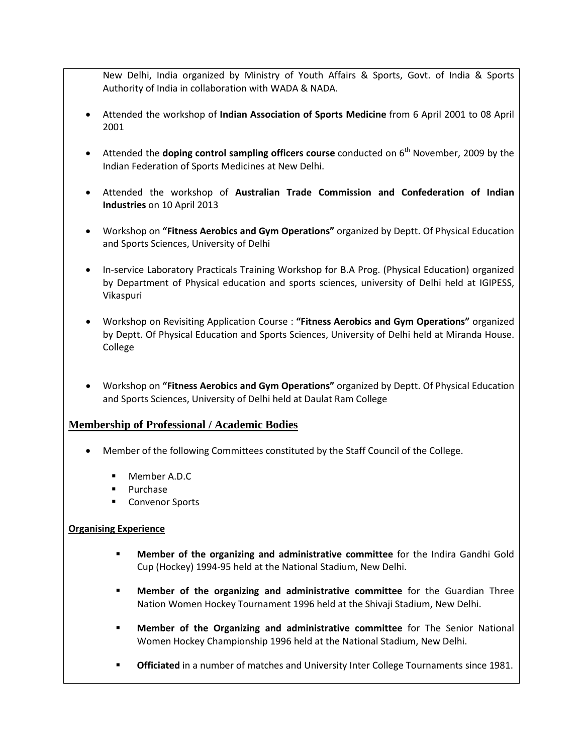New Delhi, India organized by Ministry of Youth Affairs & Sports, Govt. of India & Sports Authority of India in collaboration with WADA & NADA.

- Attended the workshop of **Indian Association of Sports Medicine** from 6 April 2001 to 08 April 2001
- Attended the **doping control sampling officers course** conducted on 6<sup>th</sup> November, 2009 by the Indian Federation of Sports Medicines at New Delhi.
- Attended the workshop of **Australian Trade Commission and Confederation of Indian Industries** on 10 April 2013
- Workshop on **"Fitness Aerobics and Gym Operations"** organized by Deptt. Of Physical Education and Sports Sciences, University of Delhi
- In-service Laboratory Practicals Training Workshop for B.A Prog. (Physical Education) organized by Department of Physical education and sports sciences, university of Delhi held at IGIPESS, Vikaspuri
- Workshop on Revisiting Application Course : **"Fitness Aerobics and Gym Operations"** organized by Deptt. Of Physical Education and Sports Sciences, University of Delhi held at Miranda House. College
- Workshop on **"Fitness Aerobics and Gym Operations"** organized by Deptt. Of Physical Education and Sports Sciences, University of Delhi held at Daulat Ram College

## **Membership of Professional / Academic Bodies**

- Member of the following Committees constituted by the Staff Council of the College.
	- Member A.D.C
	- Purchase
	- Convenor Sports

#### **Organising Experience**

- **Member of the organizing and administrative committee** for the Indira Gandhi Gold Cup (Hockey) 1994-95 held at the National Stadium, New Delhi.
- **Member of the organizing and administrative committee** for the Guardian Three Nation Women Hockey Tournament 1996 held at the Shivaji Stadium, New Delhi.
- **Member of the Organizing and administrative committee** for The Senior National Women Hockey Championship 1996 held at the National Stadium, New Delhi.
- **Officiated** in a number of matches and University Inter College Tournaments since 1981.